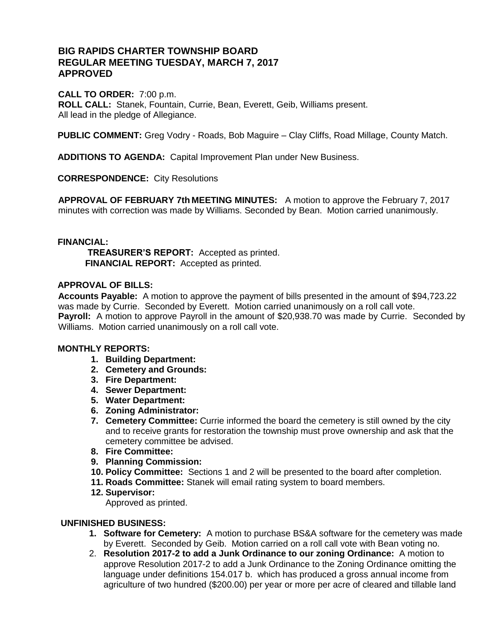## **BIG RAPIDS CHARTER TOWNSHIP BOARD REGULAR MEETING TUESDAY, MARCH 7, 2017 APPROVED**

**CALL TO ORDER:** 7:00 p.m.

**ROLL CALL:** Stanek, Fountain, Currie, Bean, Everett, Geib, Williams present. All lead in the pledge of Allegiance.

**PUBLIC COMMENT:** Greg Vodry - Roads, Bob Maguire – Clay Cliffs, Road Millage, County Match.

**ADDITIONS TO AGENDA:** Capital Improvement Plan under New Business.

**CORRESPONDENCE:** City Resolutions

**APPROVAL OF FEBRUARY 7th MEETING MINUTES:** A motion to approve the February 7, 2017 minutes with correction was made by Williams. Seconded by Bean. Motion carried unanimously.

### **FINANCIAL:**

 **TREASURER'S REPORT:** Accepted as printed.  **FINANCIAL REPORT:** Accepted as printed.

### **APPROVAL OF BILLS:**

**Accounts Payable:** A motion to approve the payment of bills presented in the amount of \$94,723.22 was made by Currie. Seconded by Everett. Motion carried unanimously on a roll call vote. **Payroll:** A motion to approve Payroll in the amount of \$20,938.70 was made by Currie. Seconded by Williams. Motion carried unanimously on a roll call vote.

### **MONTHLY REPORTS:**

- **1. Building Department:**
- **2. Cemetery and Grounds:**
- **3. Fire Department:**
- **4. Sewer Department:**
- **5. Water Department:**
- **6. Zoning Administrator:**
- **7. Cemetery Committee:** Currie informed the board the cemetery is still owned by the city and to receive grants for restoration the township must prove ownership and ask that the cemetery committee be advised.
- **8. Fire Committee:**
- **9. Planning Commission:**
- **10. Policy Committee:** Sections 1 and 2 will be presented to the board after completion.
- **11. Roads Committee:** Stanek will email rating system to board members.
- **12. Supervisor:**

Approved as printed.

### **UNFINISHED BUSINESS:**

- **1. Software for Cemetery:** A motion to purchase BS&A software for the cemetery was made by Everett. Seconded by Geib. Motion carried on a roll call vote with Bean voting no.
- 2. **Resolution 2017-2 to add a Junk Ordinance to our zoning Ordinance:** A motion to approve Resolution 2017-2 to add a Junk Ordinance to the Zoning Ordinance omitting the language under definitions 154.017 b. which has produced a gross annual income from agriculture of two hundred (\$200.00) per year or more per acre of cleared and tillable land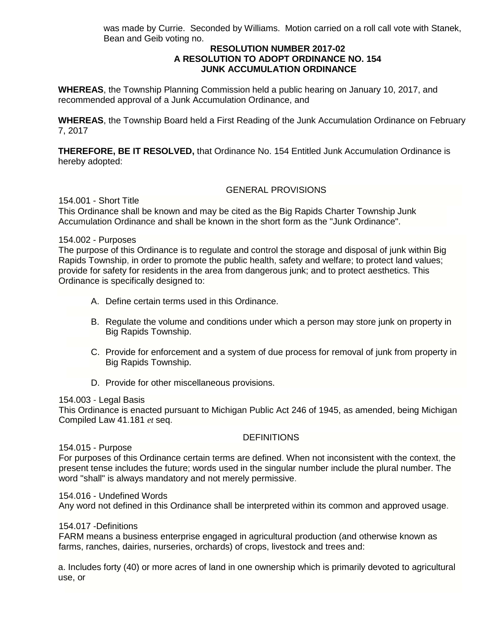was made by Currie. Seconded by Williams. Motion carried on a roll call vote with Stanek, Bean and Geib voting no.

### **RESOLUTION NUMBER 2017-02 A RESOLUTION TO ADOPT ORDINANCE NO. 154 JUNK ACCUMULATION ORDINANCE**

**WHEREAS**, the Township Planning Commission held a public hearing on January 10, 2017, and recommended approval of a Junk Accumulation Ordinance, and

**WHEREAS**, the Township Board held a First Reading of the Junk Accumulation Ordinance on February 7, 2017

**THEREFORE, BE IT RESOLVED,** that Ordinance No. 154 Entitled Junk Accumulation Ordinance is hereby adopted:

### GENERAL PROVISIONS

154.001 - Short Title

This Ordinance shall be known and may be cited as the Big Rapids Charter Township Junk Accumulation Ordinance and shall be known in the short form as the "Junk Ordinance".

### 154.002 - Purposes

The purpose of this Ordinance is to regulate and control the storage and disposal of junk within Big Rapids Township, in order to promote the public health, safety and welfare; to protect land values; provide for safety for residents in the area from dangerous junk; and to protect aesthetics. This Ordinance is specifically designed to:

- A. Define certain terms used in this Ordinance.
- B. Regulate the volume and conditions under which a person may store junk on property in Big Rapids Township.
- C. Provide for enforcement and a system of due process for removal of junk from property in Big Rapids Township.
- D. Provide for other miscellaneous provisions.

### 154.003 - Legal Basis

This Ordinance is enacted pursuant to Michigan Public Act 246 of 1945, as amended, being Michigan Compiled Law 41.181 *et* seq.

### **DEFINITIONS**

### 154.015 - Purpose

For purposes of this Ordinance certain terms are defined. When not inconsistent with the context, the present tense includes the future; words used in the singular number include the plural number. The word "shall" is always mandatory and not merely permissive.

### 154.016 - Undefined Words

Any word not defined in this Ordinance shall be interpreted within its common and approved usage.

### 154.017 -Definitions

FARM means a business enterprise engaged in agricultural production (and otherwise known as farms, ranches, dairies, nurseries, orchards) of crops, livestock and trees and:

a. Includes forty (40) or more acres of land in one ownership which is primarily devoted to agricultural use, or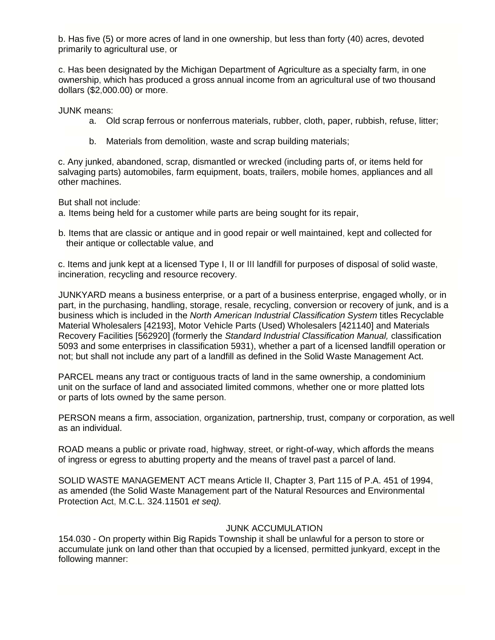b. Has five (5) or more acres of land in one ownership, but less than forty (40) acres, devoted primarily to agricultural use, or

c. Has been designated by the Michigan Department of Agriculture as a specialty farm, in one ownership, which has produced a gross annual income from an agricultural use of two thousand dollars (\$2,000.00) or more.

JUNK means:

- a. Old scrap ferrous or nonferrous materials, rubber, cloth, paper, rubbish, refuse, litter;
- b. Materials from demolition, waste and scrap building materials;

c. Any junked, abandoned, scrap, dismantled or wrecked (including parts of, or items held for salvaging parts) automobiles, farm equipment, boats, trailers, mobile homes, appliances and all other machines.

But shall not include:

a. Items being held for a customer while parts are being sought for its repair,

b. Items that are classic or antique and in good repair or well maintained, kept and collected for their antique or collectable value, and

c. Items and junk kept at a licensed Type I, II or III landfill for purposes of disposal of solid waste, incineration, recycling and resource recovery.

JUNKYARD means a business enterprise, or a part of a business enterprise, engaged wholly, or in part, in the purchasing, handling, storage, resale, recycling, conversion or recovery of junk, and is a business which is included in the *North American Industrial Classification System* titles Recyclable Material Wholesalers [42193], Motor Vehicle Parts (Used) Wholesalers [421140] and Materials Recovery Facilities [562920] (formerly the *Standard Industrial Classification Manual,* classification 5093 and some enterprises in classification 5931), whether a part of a licensed landfill operation or not; but shall not include any part of a landfill as defined in the Solid Waste Management Act.

PARCEL means any tract or contiguous tracts of land in the same ownership, a condominium unit on the surface of land and associated limited commons, whether one or more platted lots or parts of lots owned by the same person.

PERSON means a firm, association, organization, partnership, trust, company or corporation, as well as an individual.

ROAD means a public or private road, highway, street, or right-of-way, which affords the means of ingress or egress to abutting property and the means of travel past a parcel of land.

SOLID WASTE MANAGEMENT ACT means Article II, Chapter 3, Part 115 of P.A. 451 of 1994, as amended (the Solid Waste Management part of the Natural Resources and Environmental Protection Act, M.C.L. 324.11501 *et seq).* 

### JUNK ACCUMULATION

154.030 - On property within Big Rapids Township it shall be unlawful for a person to store or accumulate junk on land other than that occupied by a licensed, permitted junkyard, except in the following manner: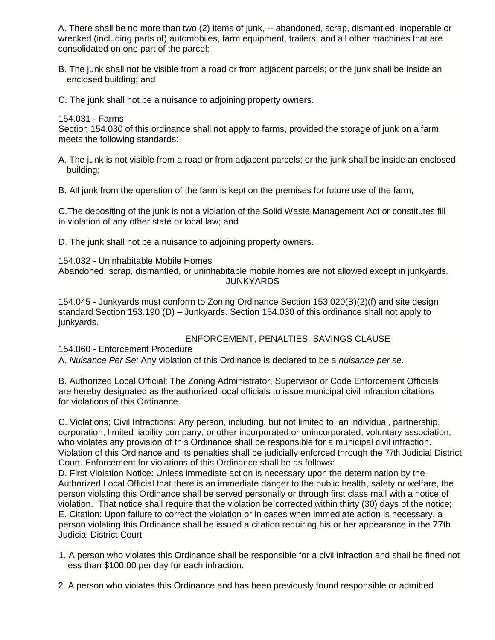A. There shall be no more than two (2) items of junk, -- abandoned, scrap, dismantled, inoperable or wrecked (including parts of) automobiles, farm equipment, trailers, and all other machines that are consolidated on one part of the parcel;

B. The junk shall not be visible from a road or from adjacent parcels; or the junk shall be inside an enclosed building; and

C. The junk shall not be a nuisance to adjoining property owners.

### 154.031 - Farms

Section 154.030 of this ordinance shall not apply to farms, provided the storage of junk on a farm meets the following standards:

A. The junk is not visible from a road or from adjacent parcels; or the junk shall be inside an enclosed building;

B. All junk from the operation of the farm is kept on the premises for future use of the farm;

C.The depositing of the junk is not a violation of the Solid Waste Management Act or constitutes fill in violation of any other state or local law; and

D. The junk shall not be a nuisance to adjoining property owners.

154.032 - Uninhabitable Mobile Homes

Abandoned, scrap, dismantled, or uninhabitable mobile homes are not allowed except in junkyards. JUNKYARDS

154.045 - Junkyards must conform to Zoning Ordinance Section 153.020(B)(2)(f) and site design standard Section 153.190 (D) – Junkyards. Section 154.030 of this ordinance shall not apply to junkyards.

### ENFORCEMENT, PENALTIES, SAVINGS CLAUSE

154.060 - Enforcement Procedure

A. *Nuisance Per Se:* Any violation of this Ordinance is declared to be a *nuisance per se.* 

B. Authorized Local Official: The Zoning Administrator, Supervisor or Code Enforcement Officials are hereby designated as the authorized local officials to issue municipal civil infraction citations for violations of this Ordinance.

C. Violations; Civil Infractions: Any person, including, but not limited to, an individual, partnership, corporation, limited liability company, or other incorporated or unincorporated, voluntary association, who violates any provision of this Ordinance shall be responsible for a municipal civil infraction. Violation of this Ordinance and its penalties shall be judicially enforced through the 77th Judicial District Court. Enforcement for violations of this Ordinance shall be as follows:

D. First Violation Notice: Unless immediate action is necessary upon the determination by the Authorized Local Official that there is an immediate danger to the public health, safety or welfare, the person violating this Ordinance shall be served personally or through first class mail with a notice of violation. That notice shall require that the violation be corrected within thirty (30) days of the notice; E. Citation: Upon failure to correct the violation or in cases when immediate action is necessary, a person violating this Ordinance shall be issued a citation requiring his or her appearance in the 77th Judicial District Court.

1. A person who violates this Ordinance shall be responsible for a civil infraction and shall be fined not less than \$100.00 per day for each infraction.

2. A person who violates this Ordinance and has been previously found responsible or admitted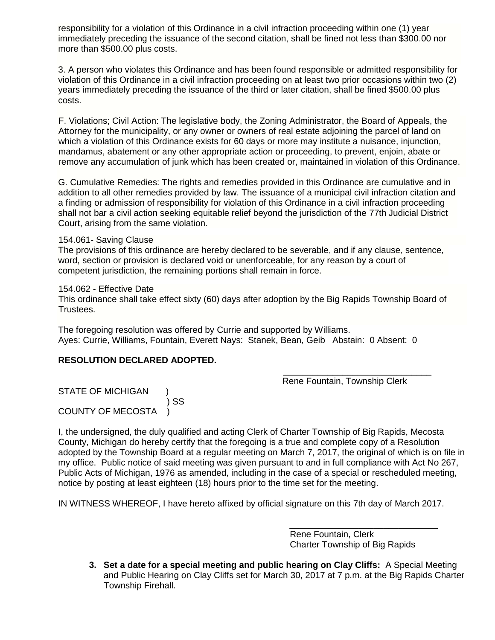responsibility for a violation of this Ordinance in a civil infraction proceeding within one (1) year immediately preceding the issuance of the second citation, shall be fined not less than \$300.00 nor more than \$500.00 plus costs.

3. A person who violates this Ordinance and has been found responsible or admitted responsibility for violation of this Ordinance in a civil infraction proceeding on at least two prior occasions within two (2) years immediately preceding the issuance of the third or later citation, shall be fined \$500.00 plus costs.

F. Violations; Civil Action: The legislative body, the Zoning Administrator, the Board of Appeals, the Attorney for the municipality, or any owner or owners of real estate adjoining the parcel of land on which a violation of this Ordinance exists for 60 days or more may institute a nuisance, injunction, mandamus, abatement or any other appropriate action or proceeding, to prevent, enjoin, abate or remove any accumulation of junk which has been created or, maintained in violation of this Ordinance.

G. Cumulative Remedies: The rights and remedies provided in this Ordinance are cumulative and in addition to all other remedies provided by law. The issuance of a municipal civil infraction citation and a finding or admission of responsibility for violation of this Ordinance in a civil infraction proceeding shall not bar a civil action seeking equitable relief beyond the jurisdiction of the 77th Judicial District Court, arising from the same violation.

#### 154.061- Saving Clause

The provisions of this ordinance are hereby declared to be severable, and if any clause, sentence, word, section or provision is declared void or unenforceable, for any reason by a court of competent jurisdiction, the remaining portions shall remain in force.

#### 154.062 - Effective Date

This ordinance shall take effect sixty (60) days after adoption by the Big Rapids Township Board of Trustees.

The foregoing resolution was offered by Currie and supported by Williams. Ayes: Currie, Williams, Fountain, Everett Nays: Stanek, Bean, Geib Abstain: 0 Absent: 0

 $\overline{\phantom{a}}$  , and the contract of the contract of the contract of the contract of the contract of the contract of the contract of the contract of the contract of the contract of the contract of the contract of the contrac

### **RESOLUTION DECLARED ADOPTED.**

Rene Fountain, Township Clerk

STATE OF MICHIGAN  $\overline{\phantom{a}}$ ) SS COUNTY OF MECOSTA )

I, the undersigned, the duly qualified and acting Clerk of Charter Township of Big Rapids, Mecosta County, Michigan do hereby certify that the foregoing is a true and complete copy of a Resolution adopted by the Township Board at a regular meeting on March 7, 2017, the original of which is on file in my office. Public notice of said meeting was given pursuant to and in full compliance with Act No 267, Public Acts of Michigan, 1976 as amended, including in the case of a special or rescheduled meeting, notice by posting at least eighteen (18) hours prior to the time set for the meeting.

IN WITNESS WHEREOF, I have hereto affixed by official signature on this 7th day of March 2017.

 Rene Fountain, Clerk Charter Township of Big Rapids

\_\_\_\_\_\_\_\_\_\_\_\_\_\_\_\_\_\_\_\_\_\_\_\_\_\_\_\_\_\_

**3. Set a date for a special meeting and public hearing on Clay Cliffs:** A Special Meeting and Public Hearing on Clay Cliffs set for March 30, 2017 at 7 p.m. at the Big Rapids Charter Township Firehall.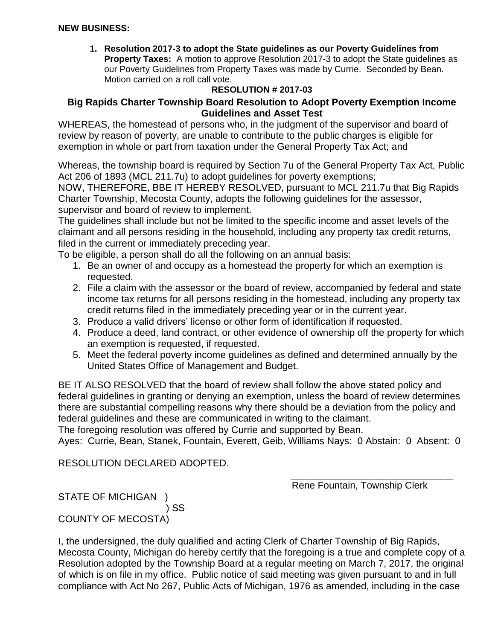**1. Resolution 2017-3 to adopt the State guidelines as our Poverty Guidelines from Property Taxes:** A motion to approve Resolution 2017-3 to adopt the State guidelines as our Poverty Guidelines from Property Taxes was made by Currie. Seconded by Bean. Motion carried on a roll call vote.

# **RESOLUTION # 2017-03**

# **Big Rapids Charter Township Board Resolution to Adopt Poverty Exemption Income Guidelines and Asset Test**

WHEREAS, the homestead of persons who, in the judgment of the supervisor and board of review by reason of poverty, are unable to contribute to the public charges is eligible for exemption in whole or part from taxation under the General Property Tax Act; and

Whereas, the township board is required by Section 7u of the General Property Tax Act, Public Act 206 of 1893 (MCL 211.7u) to adopt guidelines for poverty exemptions;

NOW, THEREFORE, BBE IT HEREBY RESOLVED, pursuant to MCL 211.7u that Big Rapids Charter Township, Mecosta County, adopts the following guidelines for the assessor, supervisor and board of review to implement.

The guidelines shall include but not be limited to the specific income and asset levels of the claimant and all persons residing in the household, including any property tax credit returns, filed in the current or immediately preceding year.

To be eligible, a person shall do all the following on an annual basis:

- 1. Be an owner of and occupy as a homestead the property for which an exemption is requested.
- 2. File a claim with the assessor or the board of review, accompanied by federal and state income tax returns for all persons residing in the homestead, including any property tax credit returns filed in the immediately preceding year or in the current year.
- 3. Produce a valid drivers' license or other form of identification if requested.
- 4. Produce a deed, land contract, or other evidence of ownership off the property for which an exemption is requested, if requested.
- 5. Meet the federal poverty income guidelines as defined and determined annually by the United States Office of Management and Budget.

BE IT ALSO RESOLVED that the board of review shall follow the above stated policy and federal guidelines in granting or denying an exemption, unless the board of review determines there are substantial compelling reasons why there should be a deviation from the policy and federal guidelines and these are communicated in writing to the claimant.

The foregoing resolution was offered by Currie and supported by Bean.

Ayes: Currie, Bean, Stanek, Fountain, Everett, Geib, Williams Nays: 0 Abstain: 0 Absent: 0

RESOLUTION DECLARED ADOPTED.

\_\_\_\_\_\_\_\_\_\_\_\_\_\_\_\_\_\_\_\_\_\_\_\_\_\_\_\_\_\_ Rene Fountain, Township Clerk

STATE OF MICHIGAN ) SS COUNTY OF MECOSTA)

I, the undersigned, the duly qualified and acting Clerk of Charter Township of Big Rapids, Mecosta County, Michigan do hereby certify that the foregoing is a true and complete copy of a Resolution adopted by the Township Board at a regular meeting on March 7, 2017, the original of which is on file in my office. Public notice of said meeting was given pursuant to and in full compliance with Act No 267, Public Acts of Michigan, 1976 as amended, including in the case